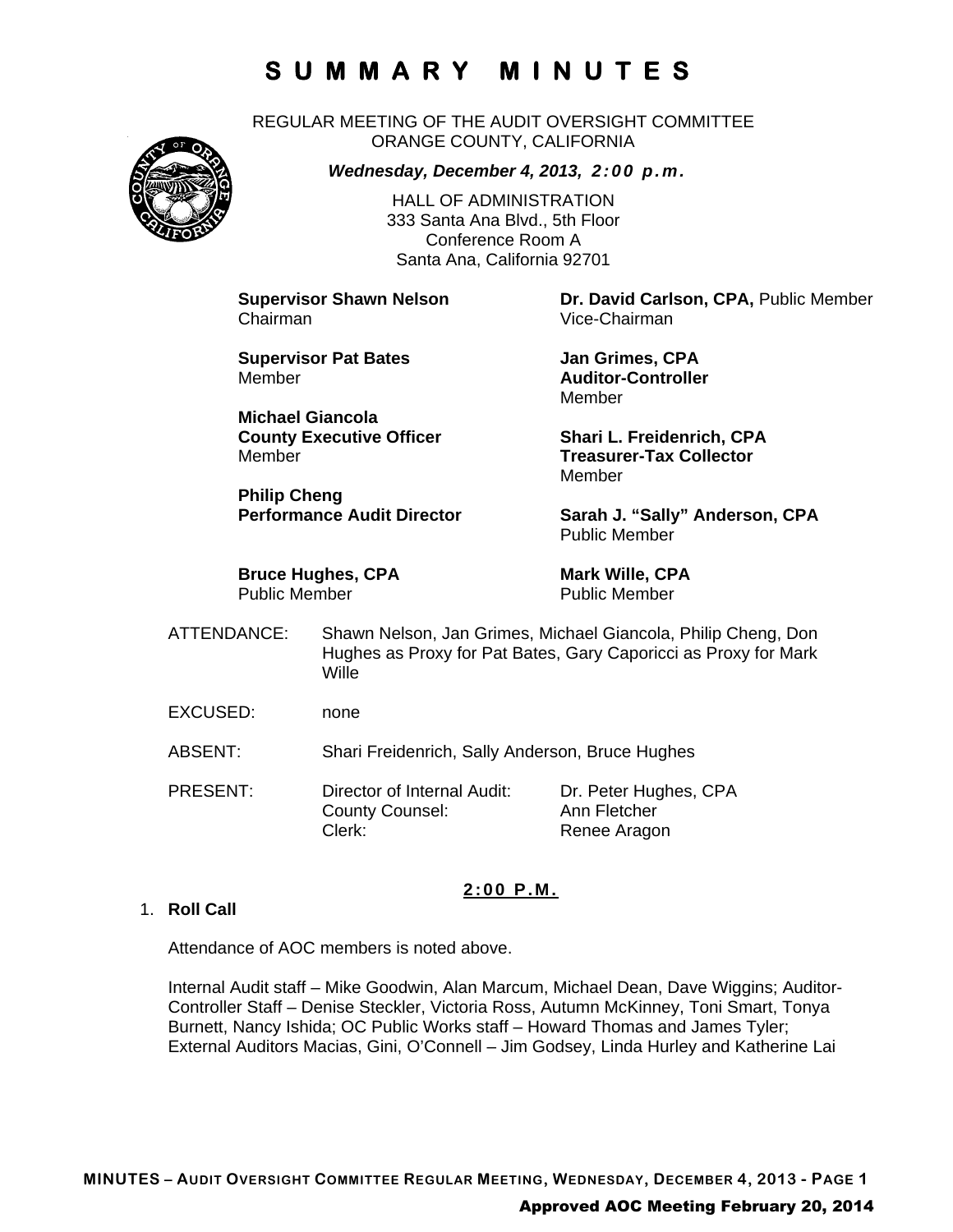REGULAR MEETING OF THE AUDIT OVERSIGHT COMMITTEE ORANGE COUNTY, CALIFORNIA



*Wednesday, December 4, 2013, 2:00 p.m.*

HALL OF ADMINISTRATION 333 Santa Ana Blvd., 5th Floor Conference Room A Santa Ana, California 92701

Chairman Vice-Chairman

**Supervisor Pat Bates Manual State State State State State State State State State State State State State State State State State State State State State State State State State State State State State State State State S** Member **Auditor-Controller** 

**Michael Giancola** Member **Treasurer-Tax Collector** 

**Philip Cheng** 

**Bruce Hughes, CPA** Mark Wille, CPA Public Member Public Member

**Supervisor Shawn Nelson Dr. David Carlson, CPA,** Public Member

Member

**County Executive Officer Shari L. Freidenrich, CPA** Member

Performance Audit Director Sarah J. "Sally" Anderson, CPA Public Member

- ATTENDANCE: Shawn Nelson, Jan Grimes, Michael Giancola, Philip Cheng, Don Hughes as Proxy for Pat Bates, Gary Caporicci as Proxy for Mark **Wille**
- EXCUSED: none
- ABSENT: Shari Freidenrich, Sally Anderson, Bruce Hughes
- PRESENT: Director of Internal Audit: Dr. Peter Hughes, CPA County Counsel: Ann Fletcher Clerk: Renee Aragon

### **2:00 P.M.**

### 1. **Roll Call**

Attendance of AOC members is noted above.

Internal Audit staff – Mike Goodwin, Alan Marcum, Michael Dean, Dave Wiggins; Auditor-Controller Staff – Denise Steckler, Victoria Ross, Autumn McKinney, Toni Smart, Tonya Burnett, Nancy Ishida; OC Public Works staff – Howard Thomas and James Tyler; External Auditors Macias, Gini, O'Connell – Jim Godsey, Linda Hurley and Katherine Lai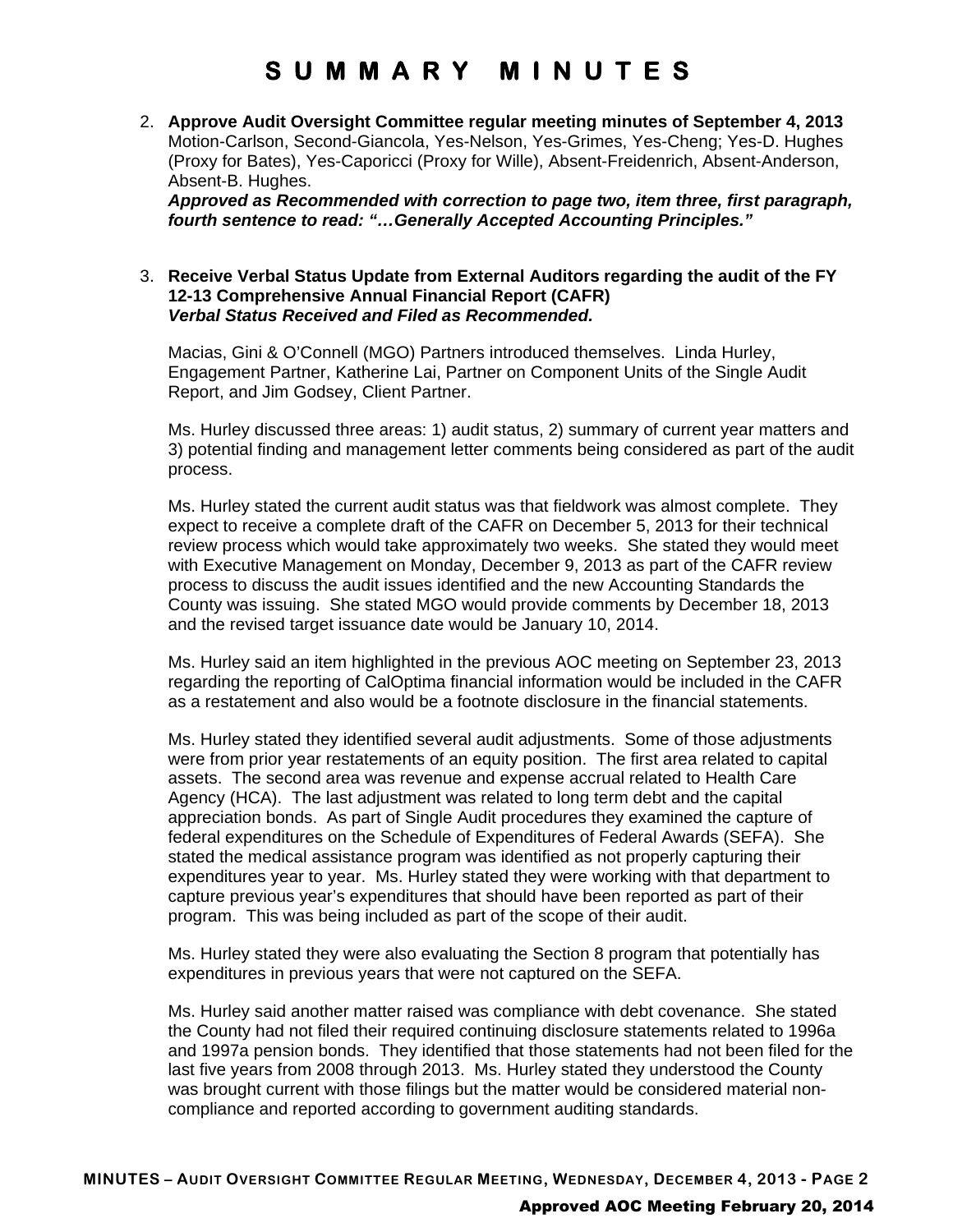2. **Approve Audit Oversight Committee regular meeting minutes of September 4, 2013** Motion-Carlson, Second-Giancola, Yes-Nelson, Yes-Grimes, Yes-Cheng; Yes-D. Hughes (Proxy for Bates), Yes-Caporicci (Proxy for Wille), Absent-Freidenrich, Absent-Anderson, Absent-B. Hughes.

*Approved as Recommended with correction to page two, item three, first paragraph, fourth sentence to read: "…Generally Accepted Accounting Principles."*

### 3. **Receive Verbal Status Update from External Auditors regarding the audit of the FY 12-13 Comprehensive Annual Financial Report (CAFR)** *Verbal Status Received and Filed as Recommended.*

Macias, Gini & O'Connell (MGO) Partners introduced themselves. Linda Hurley, Engagement Partner, Katherine Lai, Partner on Component Units of the Single Audit Report, and Jim Godsey, Client Partner.

Ms. Hurley discussed three areas: 1) audit status, 2) summary of current year matters and 3) potential finding and management letter comments being considered as part of the audit process.

Ms. Hurley stated the current audit status was that fieldwork was almost complete. They expect to receive a complete draft of the CAFR on December 5, 2013 for their technical review process which would take approximately two weeks. She stated they would meet with Executive Management on Monday, December 9, 2013 as part of the CAFR review process to discuss the audit issues identified and the new Accounting Standards the County was issuing. She stated MGO would provide comments by December 18, 2013 and the revised target issuance date would be January 10, 2014.

Ms. Hurley said an item highlighted in the previous AOC meeting on September 23, 2013 regarding the reporting of CalOptima financial information would be included in the CAFR as a restatement and also would be a footnote disclosure in the financial statements.

Ms. Hurley stated they identified several audit adjustments. Some of those adjustments were from prior year restatements of an equity position. The first area related to capital assets. The second area was revenue and expense accrual related to Health Care Agency (HCA). The last adjustment was related to long term debt and the capital appreciation bonds. As part of Single Audit procedures they examined the capture of federal expenditures on the Schedule of Expenditures of Federal Awards (SEFA). She stated the medical assistance program was identified as not properly capturing their expenditures year to year. Ms. Hurley stated they were working with that department to capture previous year's expenditures that should have been reported as part of their program. This was being included as part of the scope of their audit.

Ms. Hurley stated they were also evaluating the Section 8 program that potentially has expenditures in previous years that were not captured on the SEFA.

Ms. Hurley said another matter raised was compliance with debt covenance. She stated the County had not filed their required continuing disclosure statements related to 1996a and 1997a pension bonds. They identified that those statements had not been filed for the last five years from 2008 through 2013. Ms. Hurley stated they understood the County was brought current with those filings but the matter would be considered material noncompliance and reported according to government auditing standards.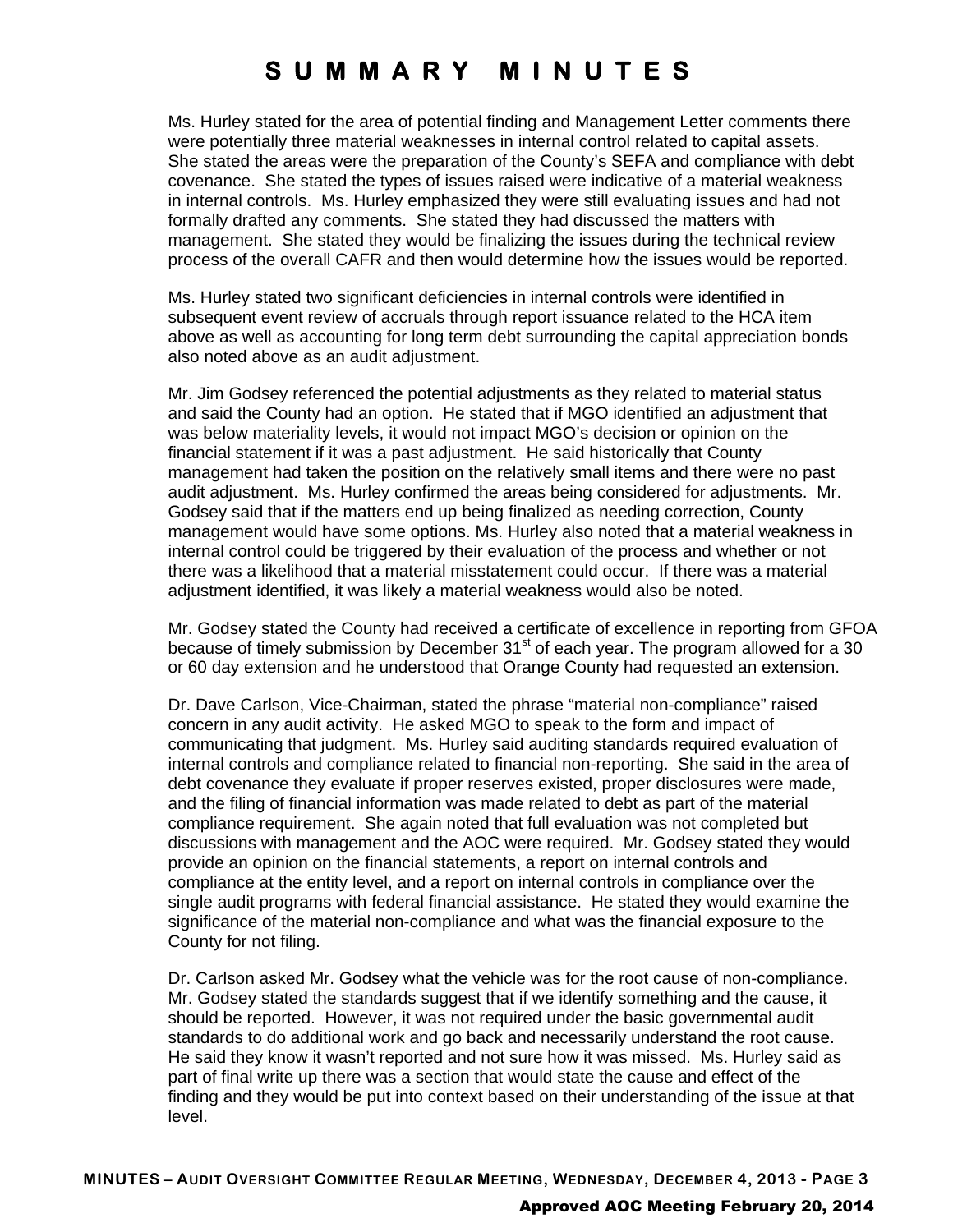Ms. Hurley stated for the area of potential finding and Management Letter comments there were potentially three material weaknesses in internal control related to capital assets. She stated the areas were the preparation of the County's SEFA and compliance with debt covenance. She stated the types of issues raised were indicative of a material weakness in internal controls. Ms. Hurley emphasized they were still evaluating issues and had not formally drafted any comments. She stated they had discussed the matters with management. She stated they would be finalizing the issues during the technical review process of the overall CAFR and then would determine how the issues would be reported.

Ms. Hurley stated two significant deficiencies in internal controls were identified in subsequent event review of accruals through report issuance related to the HCA item above as well as accounting for long term debt surrounding the capital appreciation bonds also noted above as an audit adjustment.

Mr. Jim Godsey referenced the potential adjustments as they related to material status and said the County had an option. He stated that if MGO identified an adjustment that was below materiality levels, it would not impact MGO's decision or opinion on the financial statement if it was a past adjustment. He said historically that County management had taken the position on the relatively small items and there were no past audit adjustment. Ms. Hurley confirmed the areas being considered for adjustments. Mr. Godsey said that if the matters end up being finalized as needing correction, County management would have some options. Ms. Hurley also noted that a material weakness in internal control could be triggered by their evaluation of the process and whether or not there was a likelihood that a material misstatement could occur. If there was a material adjustment identified, it was likely a material weakness would also be noted.

Mr. Godsey stated the County had received a certificate of excellence in reporting from GFOA because of timely submission by December  $31<sup>st</sup>$  of each year. The program allowed for a 30 or 60 day extension and he understood that Orange County had requested an extension.

Dr. Dave Carlson, Vice-Chairman, stated the phrase "material non-compliance" raised concern in any audit activity. He asked MGO to speak to the form and impact of communicating that judgment. Ms. Hurley said auditing standards required evaluation of internal controls and compliance related to financial non-reporting. She said in the area of debt covenance they evaluate if proper reserves existed, proper disclosures were made, and the filing of financial information was made related to debt as part of the material compliance requirement. She again noted that full evaluation was not completed but discussions with management and the AOC were required. Mr. Godsey stated they would provide an opinion on the financial statements, a report on internal controls and compliance at the entity level, and a report on internal controls in compliance over the single audit programs with federal financial assistance. He stated they would examine the significance of the material non-compliance and what was the financial exposure to the County for not filing.

Dr. Carlson asked Mr. Godsey what the vehicle was for the root cause of non-compliance. Mr. Godsey stated the standards suggest that if we identify something and the cause, it should be reported. However, it was not required under the basic governmental audit standards to do additional work and go back and necessarily understand the root cause. He said they know it wasn't reported and not sure how it was missed. Ms. Hurley said as part of final write up there was a section that would state the cause and effect of the finding and they would be put into context based on their understanding of the issue at that level.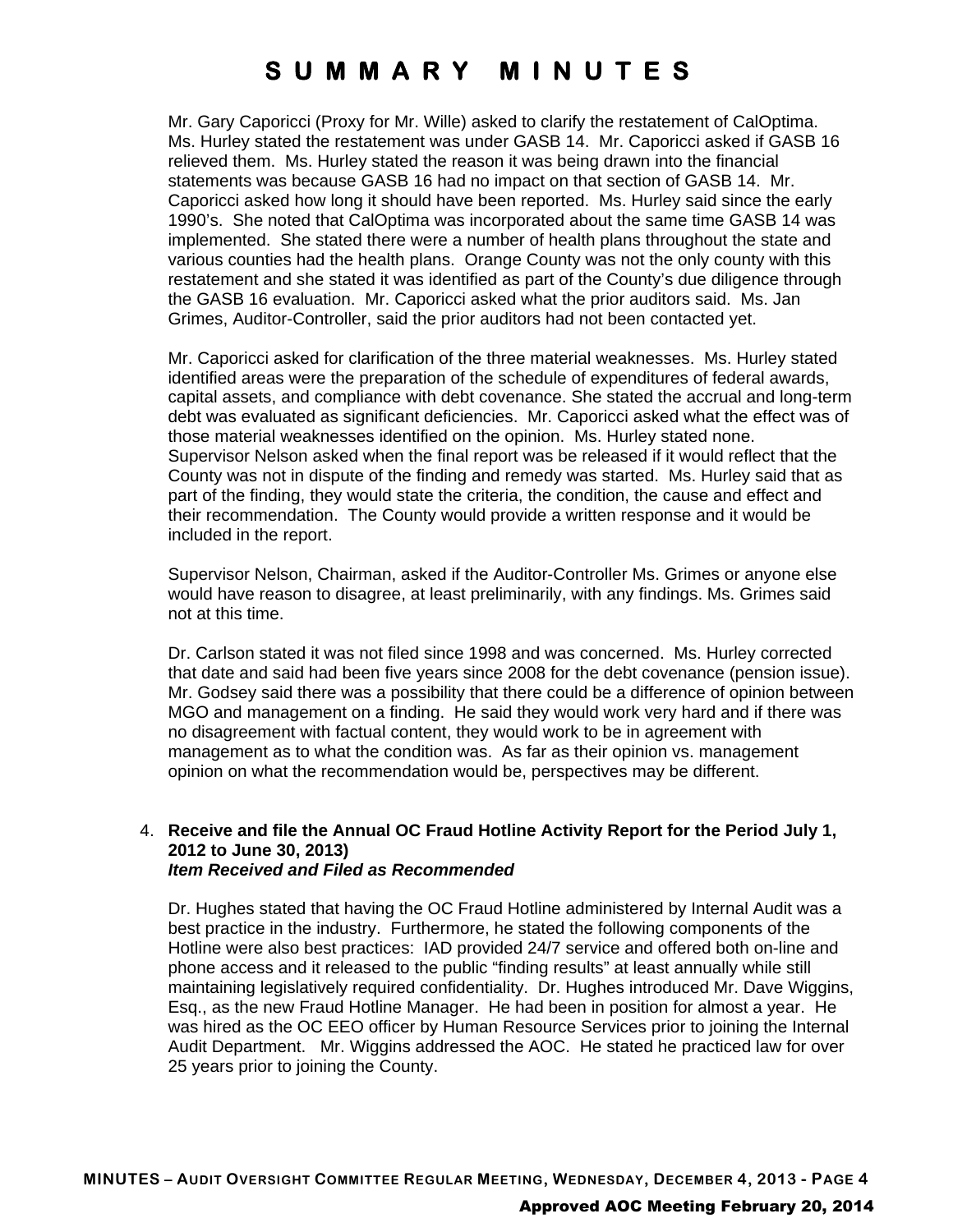Mr. Gary Caporicci (Proxy for Mr. Wille) asked to clarify the restatement of CalOptima. Ms. Hurley stated the restatement was under GASB 14. Mr. Caporicci asked if GASB 16 relieved them. Ms. Hurley stated the reason it was being drawn into the financial statements was because GASB 16 had no impact on that section of GASB 14. Mr. Caporicci asked how long it should have been reported. Ms. Hurley said since the early 1990's. She noted that CalOptima was incorporated about the same time GASB 14 was implemented. She stated there were a number of health plans throughout the state and various counties had the health plans. Orange County was not the only county with this restatement and she stated it was identified as part of the County's due diligence through the GASB 16 evaluation. Mr. Caporicci asked what the prior auditors said. Ms. Jan Grimes, Auditor-Controller, said the prior auditors had not been contacted yet.

Mr. Caporicci asked for clarification of the three material weaknesses. Ms. Hurley stated identified areas were the preparation of the schedule of expenditures of federal awards, capital assets, and compliance with debt covenance. She stated the accrual and long-term debt was evaluated as significant deficiencies. Mr. Caporicci asked what the effect was of those material weaknesses identified on the opinion. Ms. Hurley stated none. Supervisor Nelson asked when the final report was be released if it would reflect that the County was not in dispute of the finding and remedy was started. Ms. Hurley said that as part of the finding, they would state the criteria, the condition, the cause and effect and their recommendation. The County would provide a written response and it would be included in the report.

Supervisor Nelson, Chairman, asked if the Auditor-Controller Ms. Grimes or anyone else would have reason to disagree, at least preliminarily, with any findings. Ms. Grimes said not at this time.

Dr. Carlson stated it was not filed since 1998 and was concerned. Ms. Hurley corrected that date and said had been five years since 2008 for the debt covenance (pension issue). Mr. Godsey said there was a possibility that there could be a difference of opinion between MGO and management on a finding. He said they would work very hard and if there was no disagreement with factual content, they would work to be in agreement with management as to what the condition was. As far as their opinion vs. management opinion on what the recommendation would be, perspectives may be different.

#### 4. **Receive and file the Annual OC Fraud Hotline Activity Report for the Period July 1, 2012 to June 30, 2013)** *Item Received and Filed as Recommended*

Dr. Hughes stated that having the OC Fraud Hotline administered by Internal Audit was a best practice in the industry. Furthermore, he stated the following components of the Hotline were also best practices: IAD provided 24/7 service and offered both on-line and phone access and it released to the public "finding results" at least annually while still maintaining legislatively required confidentiality. Dr. Hughes introduced Mr. Dave Wiggins, Esq., as the new Fraud Hotline Manager. He had been in position for almost a year. He was hired as the OC EEO officer by Human Resource Services prior to joining the Internal Audit Department. Mr. Wiggins addressed the AOC. He stated he practiced law for over 25 years prior to joining the County.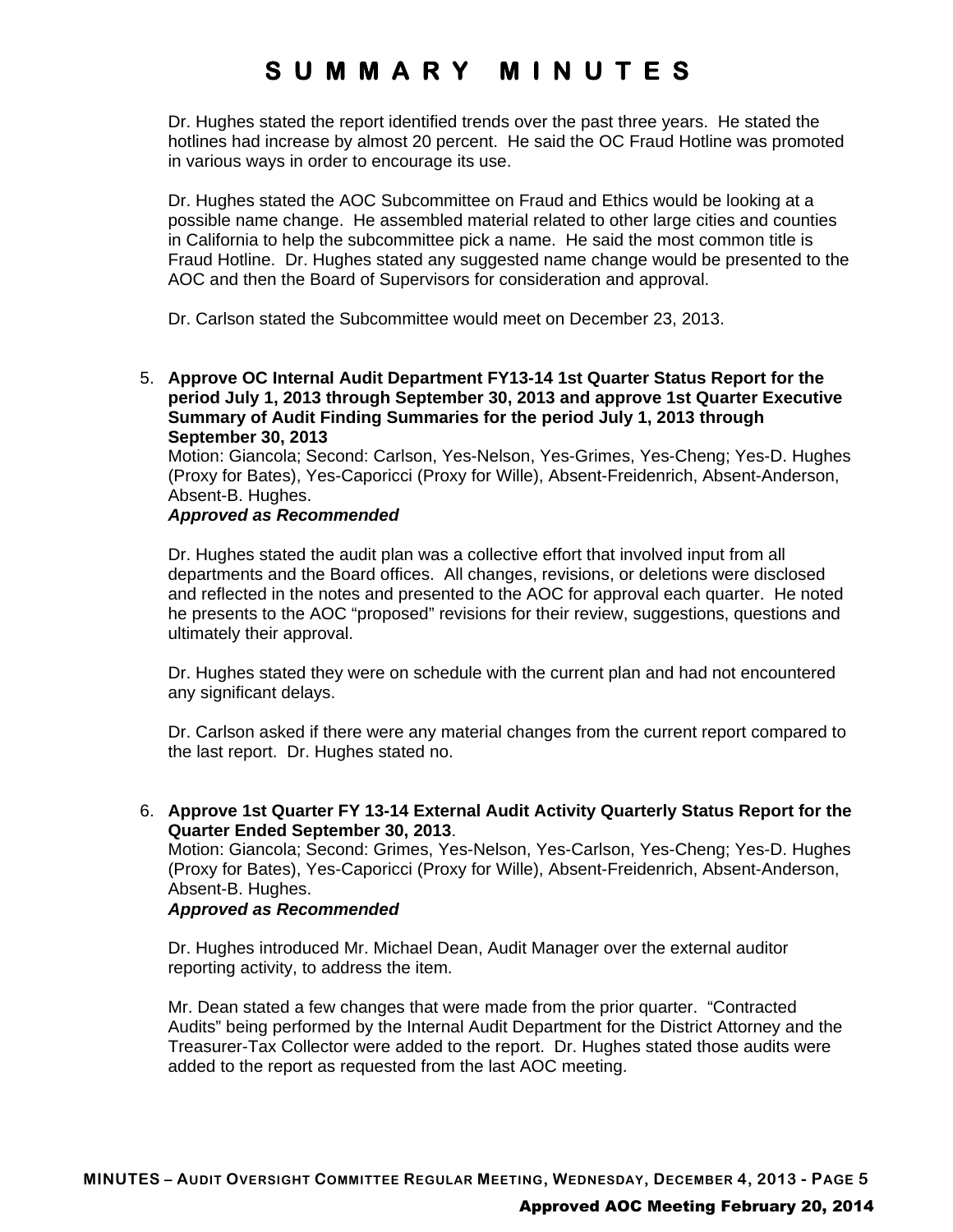Dr. Hughes stated the report identified trends over the past three years. He stated the hotlines had increase by almost 20 percent. He said the OC Fraud Hotline was promoted in various ways in order to encourage its use.

Dr. Hughes stated the AOC Subcommittee on Fraud and Ethics would be looking at a possible name change. He assembled material related to other large cities and counties in California to help the subcommittee pick a name. He said the most common title is Fraud Hotline. Dr. Hughes stated any suggested name change would be presented to the AOC and then the Board of Supervisors for consideration and approval.

Dr. Carlson stated the Subcommittee would meet on December 23, 2013.

5. **Approve OC Internal Audit Department FY13-14 1st Quarter Status Report for the period July 1, 2013 through September 30, 2013 and approve 1st Quarter Executive Summary of Audit Finding Summaries for the period July 1, 2013 through September 30, 2013**

Motion: Giancola; Second: Carlson, Yes-Nelson, Yes-Grimes, Yes-Cheng; Yes-D. Hughes (Proxy for Bates), Yes-Caporicci (Proxy for Wille), Absent-Freidenrich, Absent-Anderson, Absent-B. Hughes.

### *Approved as Recommended*

Dr. Hughes stated the audit plan was a collective effort that involved input from all departments and the Board offices. All changes, revisions, or deletions were disclosed and reflected in the notes and presented to the AOC for approval each quarter. He noted he presents to the AOC "proposed" revisions for their review, suggestions, questions and ultimately their approval.

Dr. Hughes stated they were on schedule with the current plan and had not encountered any significant delays.

Dr. Carlson asked if there were any material changes from the current report compared to the last report. Dr. Hughes stated no.

6. **Approve 1st Quarter FY 13-14 External Audit Activity Quarterly Status Report for the Quarter Ended September 30, 2013**.

Motion: Giancola; Second: Grimes, Yes-Nelson, Yes-Carlson, Yes-Cheng; Yes-D. Hughes (Proxy for Bates), Yes-Caporicci (Proxy for Wille), Absent-Freidenrich, Absent-Anderson, Absent-B. Hughes.

### *Approved as Recommended*

Dr. Hughes introduced Mr. Michael Dean, Audit Manager over the external auditor reporting activity, to address the item.

Mr. Dean stated a few changes that were made from the prior quarter. "Contracted Audits" being performed by the Internal Audit Department for the District Attorney and the Treasurer-Tax Collector were added to the report. Dr. Hughes stated those audits were added to the report as requested from the last AOC meeting.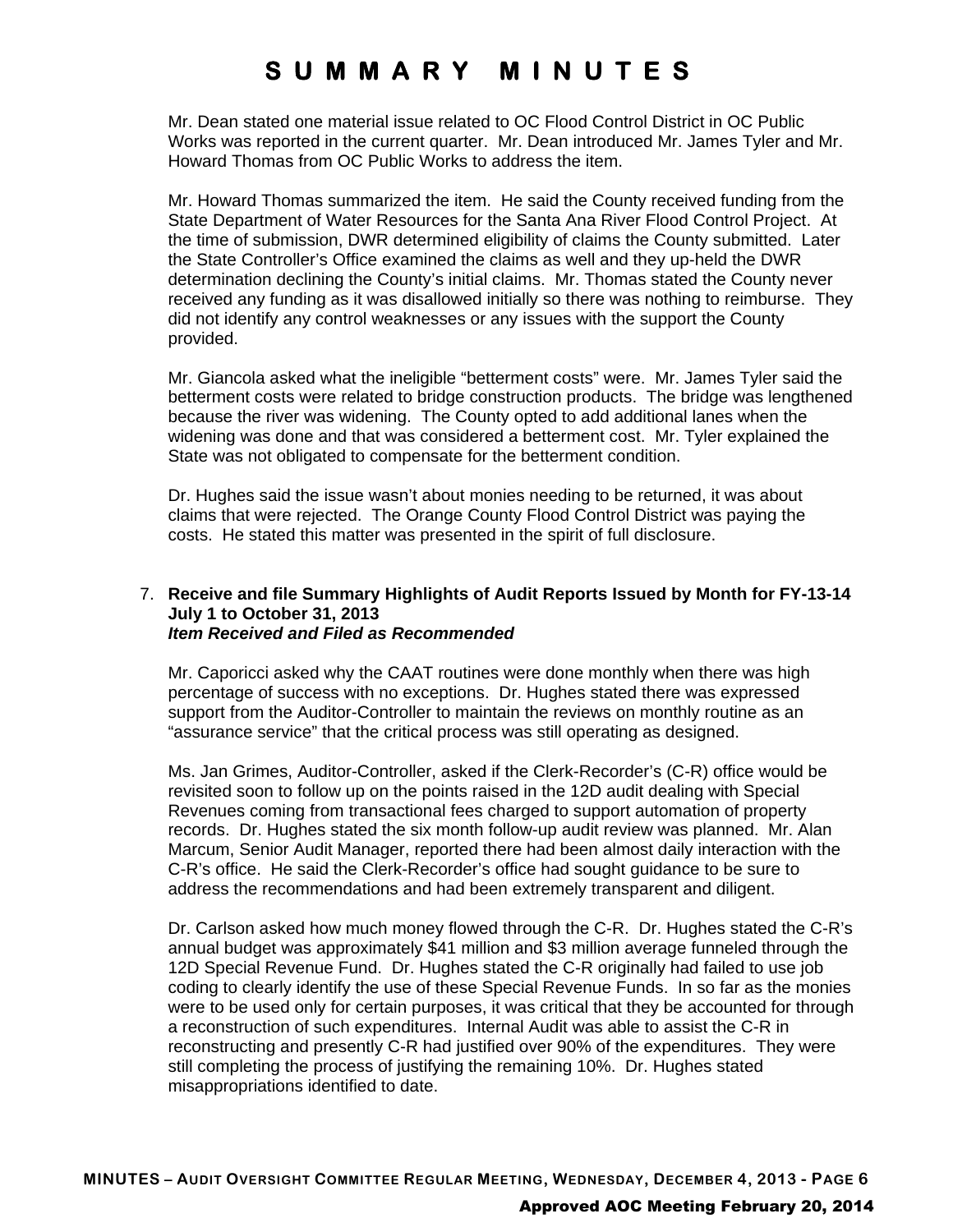Mr. Dean stated one material issue related to OC Flood Control District in OC Public Works was reported in the current quarter. Mr. Dean introduced Mr. James Tyler and Mr. Howard Thomas from OC Public Works to address the item.

Mr. Howard Thomas summarized the item. He said the County received funding from the State Department of Water Resources for the Santa Ana River Flood Control Project. At the time of submission, DWR determined eligibility of claims the County submitted. Later the State Controller's Office examined the claims as well and they up-held the DWR determination declining the County's initial claims. Mr. Thomas stated the County never received any funding as it was disallowed initially so there was nothing to reimburse. They did not identify any control weaknesses or any issues with the support the County provided.

Mr. Giancola asked what the ineligible "betterment costs" were. Mr. James Tyler said the betterment costs were related to bridge construction products. The bridge was lengthened because the river was widening. The County opted to add additional lanes when the widening was done and that was considered a betterment cost. Mr. Tyler explained the State was not obligated to compensate for the betterment condition.

Dr. Hughes said the issue wasn't about monies needing to be returned, it was about claims that were rejected. The Orange County Flood Control District was paying the costs. He stated this matter was presented in the spirit of full disclosure.

### 7. **Receive and file Summary Highlights of Audit Reports Issued by Month for FY-13-14 July 1 to October 31, 2013** *Item Received and Filed as Recommended*

Mr. Caporicci asked why the CAAT routines were done monthly when there was high percentage of success with no exceptions. Dr. Hughes stated there was expressed support from the Auditor-Controller to maintain the reviews on monthly routine as an "assurance service" that the critical process was still operating as designed.

Ms. Jan Grimes, Auditor-Controller, asked if the Clerk-Recorder's (C-R) office would be revisited soon to follow up on the points raised in the 12D audit dealing with Special Revenues coming from transactional fees charged to support automation of property records. Dr. Hughes stated the six month follow-up audit review was planned. Mr. Alan Marcum, Senior Audit Manager, reported there had been almost daily interaction with the C-R's office. He said the Clerk-Recorder's office had sought guidance to be sure to address the recommendations and had been extremely transparent and diligent.

Dr. Carlson asked how much money flowed through the C-R. Dr. Hughes stated the C-R's annual budget was approximately \$41 million and \$3 million average funneled through the 12D Special Revenue Fund. Dr. Hughes stated the C-R originally had failed to use job coding to clearly identify the use of these Special Revenue Funds. In so far as the monies were to be used only for certain purposes, it was critical that they be accounted for through a reconstruction of such expenditures. Internal Audit was able to assist the C-R in reconstructing and presently C-R had justified over 90% of the expenditures. They were still completing the process of justifying the remaining 10%. Dr. Hughes stated misappropriations identified to date.